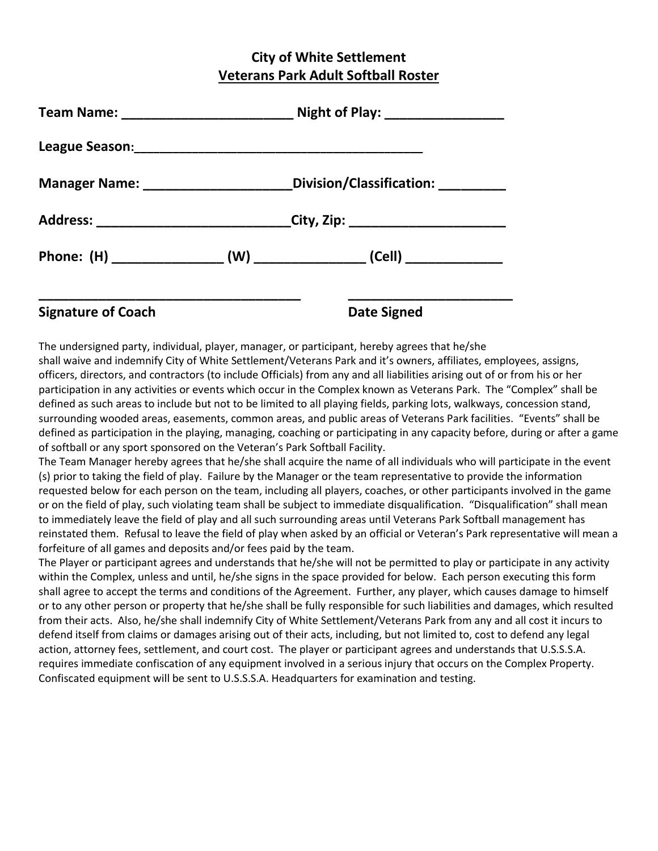## **City of White Settlement Veterans Park Adult Softball Roster**

|  | Division/Classification: ________                                                |  |
|--|----------------------------------------------------------------------------------|--|
|  | Address: ______________________________City, Zip: ______________________________ |  |
|  |                                                                                  |  |
|  |                                                                                  |  |

## **Signature of Coach Date Signed**

The undersigned party, individual, player, manager, or participant, hereby agrees that he/she shall waive and indemnify City of White Settlement/Veterans Park and it's owners, affiliates, employees, assigns, officers, directors, and contractors (to include Officials) from any and all liabilities arising out of or from his or her participation in any activities or events which occur in the Complex known as Veterans Park. The "Complex" shall be defined as such areas to include but not to be limited to all playing fields, parking lots, walkways, concession stand, surrounding wooded areas, easements, common areas, and public areas of Veterans Park facilities. "Events" shall be defined as participation in the playing, managing, coaching or participating in any capacity before, during or after a game of softball or any sport sponsored on the Veteran's Park Softball Facility.

The Team Manager hereby agrees that he/she shall acquire the name of all individuals who will participate in the event (s) prior to taking the field of play. Failure by the Manager or the team representative to provide the information requested below for each person on the team, including all players, coaches, or other participants involved in the game or on the field of play, such violating team shall be subject to immediate disqualification. "Disqualification" shall mean to immediately leave the field of play and all such surrounding areas until Veterans Park Softball management has reinstated them. Refusal to leave the field of play when asked by an official or Veteran's Park representative will mean a forfeiture of all games and deposits and/or fees paid by the team.

The Player or participant agrees and understands that he/she will not be permitted to play or participate in any activity within the Complex, unless and until, he/she signs in the space provided for below. Each person executing this form shall agree to accept the terms and conditions of the Agreement. Further, any player, which causes damage to himself or to any other person or property that he/she shall be fully responsible for such liabilities and damages, which resulted from their acts. Also, he/she shall indemnify City of White Settlement/Veterans Park from any and all cost it incurs to defend itself from claims or damages arising out of their acts, including, but not limited to, cost to defend any legal action, attorney fees, settlement, and court cost. The player or participant agrees and understands that U.S.S.S.A. requires immediate confiscation of any equipment involved in a serious injury that occurs on the Complex Property. Confiscated equipment will be sent to U.S.S.S.A. Headquarters for examination and testing.